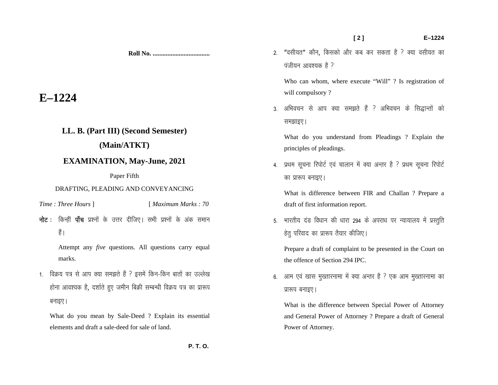**Roll No. ...................................** 

# **E–1224**

## **LL. B. (Part III) (Second Semester)**

## **(Main/ATKT)**

## **EXAMINATION, May-June, 2021**

#### Paper Fifth

#### DRAFTING, PLEADING AND CONVEYANCING

- *Time : Three Hours* ] [ *Maximum Marks : 70*
- $\overline{\mathbf{h}}$ ट : किन्हीं **पाँच** प्रश्नों के उत्तर दीजिए। सभी प्रश्नों के अंक समान हैं।

 Attempt any *five* questions. All questions carry equal marks.

1. विक्रय पत्र से आप क्या समझते हैं ? इसमें किन-किन बातों का उल्लेख होना आवश्यक है, दर्शाते हुए जमीन बिक्री सम्बन्धी विक्रय पत्र का प्रारूप बनाइए ।

What do you mean by Sale-Deed ? Explain its essential elements and draft a sale-deed for sale of land.

2. "वसीयत" कौन, किसको और कब कर सकता है ? क्या वसीयत का  $\overline{u}$ जीयन आवश्यक है ?

Who can whom, where execute "Will" ? Is registration of will compulsory?

3. अभिवचन से आप क्या समझते हैं ? अभिवचन के सिद्धान्तों को समझाइए।

What do you understand from Pleadings ? Explain the principles of pleadings.

4. प्रथम सूचना रिपोर्ट एवं चालान में क्या अन्तर है ? प्रथम सूचना रिपोर्ट का प्रारूप बनाइए।

What is difference between FIR and Challan ? Prepare a draft of first information report.

5. भारतीय दंड विधान की धारा 294 के अपराध पर न्यायालय में प्रस्तुति हेतु परिवाद का प्रारूप तैयार कीजिए।

Prepare a draft of complaint to be presented in the Court on the offence of Section 294 IPC.

6. आम एवं खास मुख्तारनामा में क्या अन्तर है ? एक आम मुख्तारनामा का प्रारूप बनाइए।

What is the difference between Special Power of Attorney and General Power of Attorney ? Prepare a draft of General Power of Attorney.